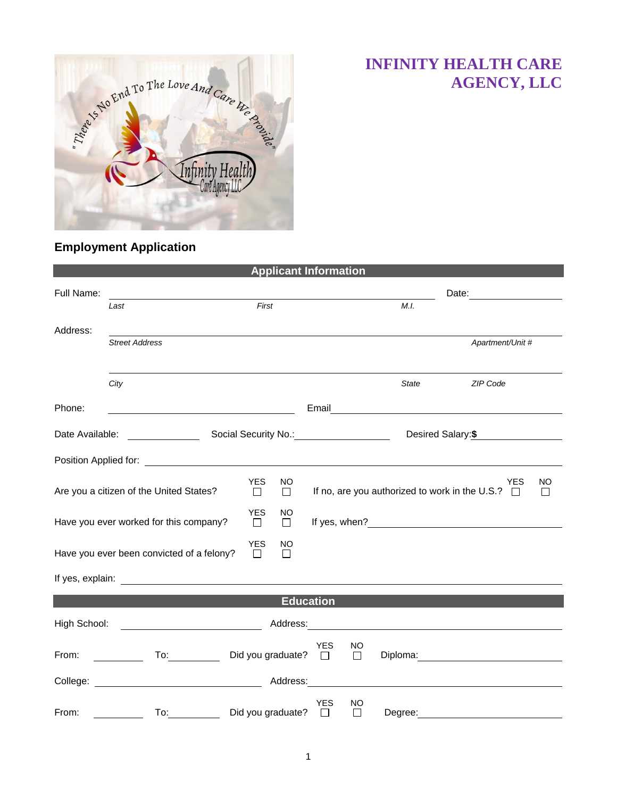

## **INFINITY HEALTH CARE AGENCY, LLC**

## **Employment Application**

|                                                                                                                               |                                                                                                                                                                                                                                |                      | <b>Applicant Information</b> |            |               |              |                                                                        |          |  |
|-------------------------------------------------------------------------------------------------------------------------------|--------------------------------------------------------------------------------------------------------------------------------------------------------------------------------------------------------------------------------|----------------------|------------------------------|------------|---------------|--------------|------------------------------------------------------------------------|----------|--|
| Full Name:                                                                                                                    |                                                                                                                                                                                                                                |                      |                              |            |               |              |                                                                        |          |  |
|                                                                                                                               | Last                                                                                                                                                                                                                           | First                |                              |            | M.L.          |              |                                                                        |          |  |
| Address:                                                                                                                      |                                                                                                                                                                                                                                |                      |                              |            |               |              |                                                                        |          |  |
|                                                                                                                               | <b>Street Address</b>                                                                                                                                                                                                          |                      |                              |            |               |              | Apartment/Unit #                                                       |          |  |
|                                                                                                                               |                                                                                                                                                                                                                                |                      |                              |            |               |              |                                                                        |          |  |
|                                                                                                                               | City                                                                                                                                                                                                                           |                      |                              |            |               | <b>State</b> | ZIP Code                                                               |          |  |
| Phone:                                                                                                                        |                                                                                                                                                                                                                                |                      |                              | Email      |               |              | <u> 1980 - Andrea Andrew Maria (h. 1980).</u>                          |          |  |
| Date Available: <u>Consumers</u> Social Security No.: Consumers Consumers Consumers Social Security No.:<br>Desired Salary:\$ |                                                                                                                                                                                                                                |                      |                              |            |               |              |                                                                        |          |  |
|                                                                                                                               |                                                                                                                                                                                                                                |                      |                              |            |               |              |                                                                        |          |  |
|                                                                                                                               | Are you a citizen of the United States?                                                                                                                                                                                        | <b>YES</b><br>$\Box$ | NO.<br>$\Box$                |            |               |              | <b>YES</b><br>If no, are you authorized to work in the U.S.? $\square$ | NO.<br>П |  |
|                                                                                                                               | Have you ever worked for this company?                                                                                                                                                                                         | <b>YES</b><br>$\Box$ | <b>NO</b><br>$\Box$          |            |               |              |                                                                        |          |  |
|                                                                                                                               | Have you ever been convicted of a felony?                                                                                                                                                                                      | <b>YES</b><br>$\Box$ | NO<br>П                      |            |               |              |                                                                        |          |  |
|                                                                                                                               |                                                                                                                                                                                                                                |                      |                              |            |               |              |                                                                        |          |  |
|                                                                                                                               |                                                                                                                                                                                                                                |                      | <b>Education</b>             |            |               |              |                                                                        |          |  |
| High School:                                                                                                                  |                                                                                                                                                                                                                                |                      |                              |            |               |              |                                                                        |          |  |
| From:                                                                                                                         | To: the contract of the contract of the contract of the contract of the contract of the contract of the contract of the contract of the contract of the contract of the contract of the contract of the contract of the contra |                      | Did you graduate? $\square$  | <b>YES</b> | NO.<br>$\Box$ |              | Diploma: <u>____________________</u>                                   |          |  |
| College:                                                                                                                      |                                                                                                                                                                                                                                |                      | Address:                     |            |               |              |                                                                        |          |  |
| From:                                                                                                                         | To:                                                                                                                                                                                                                            |                      | Did you graduate?            | YES<br>П   | NO<br>П       | Degree:      |                                                                        |          |  |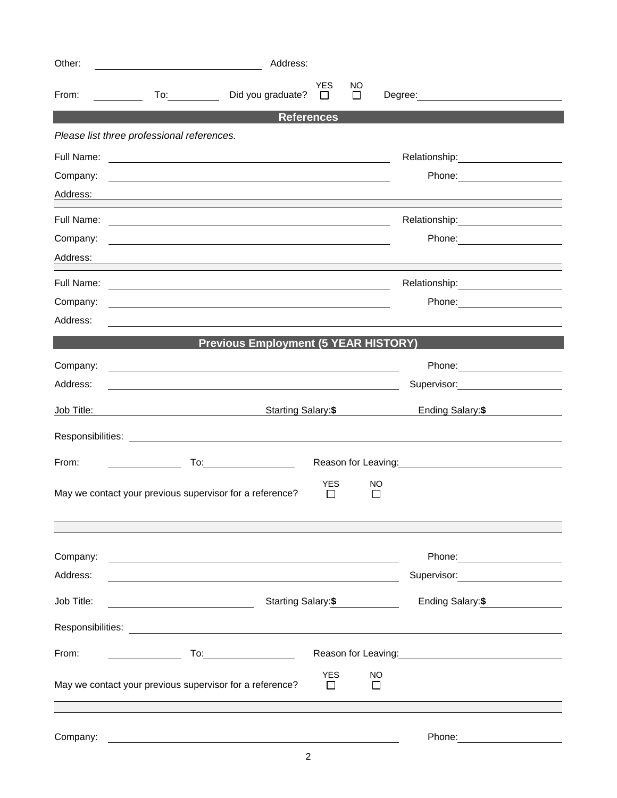| Other:     | Address:<br><u> 1989 - Johann Barbara, martin da kasar Amerikaansk politiker (</u>                                    |                      |                |                                 |  |
|------------|-----------------------------------------------------------------------------------------------------------------------|----------------------|----------------|---------------------------------|--|
| From:      | Did you graduate?                                                                                                     | <b>YES</b><br>$\Box$ | NO.<br>$\perp$ |                                 |  |
|            |                                                                                                                       | <b>References</b>    |                |                                 |  |
|            | Please list three professional references.                                                                            |                      |                |                                 |  |
|            |                                                                                                                       |                      |                |                                 |  |
| Company:   |                                                                                                                       |                      |                | Phone: _______________________  |  |
| Address:   |                                                                                                                       |                      |                |                                 |  |
| Full Name: | <u> 1980 - Andrea Andrew Maria (h. 1980).</u>                                                                         |                      |                |                                 |  |
| Company:   | and the control of the control of the control of the control of the control of the control of the control of the      |                      |                |                                 |  |
| Address:   |                                                                                                                       |                      |                |                                 |  |
| Full Name: | <u> 1980 - Johann Stein, fransk politik (f. 1980)</u>                                                                 |                      |                | Relationship: 2000              |  |
| Company:   | and the control of the control of the control of the control of the control of the control of the control of the      |                      |                |                                 |  |
| Address:   | <u> 1989 - Johann Harry Harry Harry Harry Harry Harry Harry Harry Harry Harry Harry Harry Harry Harry Harry Harry</u> |                      |                |                                 |  |
|            | <b>Previous Employment (5 YEAR HISTORY)</b>                                                                           |                      |                |                                 |  |
| Company:   | <u> 1989 - Johann Harry Barn, mars ar breithinn ar breithinn ar breithinn ar breithinn ar breithinn ar breithin</u>   |                      |                |                                 |  |
| Address:   |                                                                                                                       |                      |                | Supervisor: 2000                |  |
| Job Title: | Starting Salary: \$                                                                                                   |                      |                | Ending Salary:\$                |  |
|            |                                                                                                                       |                      |                |                                 |  |
| From:      |                                                                                                                       |                      |                | Reason for Leaving:<br><u> </u> |  |
|            | May we contact your previous supervisor for a reference?                                                              | <b>YES</b><br>$\Box$ |                | NO.<br>l l                      |  |
|            |                                                                                                                       |                      |                |                                 |  |
| Company:   |                                                                                                                       |                      |                |                                 |  |
| Address:   | <u> 1989 - Johann Barbara, martin amerikan basar dan berasal dan berasal dalam basar dalam basar dalam basar dala</u> |                      |                | Supervisor: 2000                |  |
| Job Title: | Starting Salary:\$                                                                                                    |                      |                | Ending Salary:\$                |  |
|            |                                                                                                                       |                      |                |                                 |  |
| From:      |                                                                                                                       |                      |                |                                 |  |
|            | May we contact your previous supervisor for a reference?                                                              | <b>YES</b><br>$\Box$ |                | NO<br>П                         |  |
|            |                                                                                                                       |                      |                |                                 |  |
| Company:   |                                                                                                                       |                      |                |                                 |  |